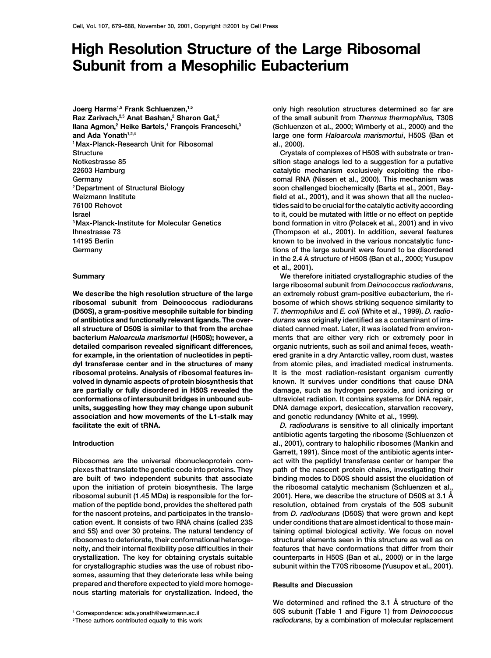# **High Resolution Structure of the Large Ribosomal Subunit from a Mesophilic Eubacterium**

**Joerg Harms1,5 Frank Schluenzen,1,5 Raz Zarivach,2,5 Anat Bashan,2 Sharon Gat,2** Ilana Agmon,<sup>2</sup> Heike Bartels,<sup>1</sup> François Franceschi,<sup>3</sup> and Ada Yonath<sup>1,2,4</sup> **al., 2000). 1Max-Planck-Research Unit for Ribosomal Structure Crystals of complexes of H50S with substrate or tran-**

**association and how movements of the L1-stalk may and genetic redundancy (White et al., 1999). facilitate the exit of tRNA.** *D. radiodurans* **is sensitive to all clinically important**

**somes, assuming that they deteriorate less while being prepared and therefore expected to yield more homoge- Results and Discussion nous starting materials for crystallization. Indeed, the**

**only high resolution structures determined so far are of the small subunit from** *Thermus thermophilus,* **T30S (Schluenzen et al., 2000; Wimberly et al., 2000) and the and Ada Yonath1,2,4 large one form** *Haloarcula marismortui***, H50S (Ban et**

**Notkestrasse 85 sition stage analogs led to a suggestion for a putative 22603 Hamburg catalytic mechanism exclusively exploiting the ribo-Germany somal RNA (Nissen et al., 2000). This mechanism was** <sup>2</sup> Department of Structural Biology **3.1 Structural Biology soon challenged biochemically (Barta et al., 2001, Bay-**Weizmann Institute *Meland in the state of the state of the field et al., 2001***), and it was shown that all the nucleo-76100 Rehovot tides said to be crucial for the catalytic activity according Israel to it, could be mutated with little or no effect on peptide 3Max-Planck-Institute for Molecular Genetics bond formation in vitro (Polacek et al., 2001) and in vivo Ihnestrasse 73 (Thompson et al., 2001). In addition, several features 14195 Berlin 1195 Berlin 1195 Berlin known to be involved in the various noncatalytic func-Germany tions of the large subunit were found to be disordered in the 2.4 A˚ structure of H50S (Ban et al., 2000; Yusupov et al., 2001).**

**Summary We therefore initiated crystallographic studies of the large ribosomal subunit from** *Deinococcus radiodurans***, We describe the high resolution structure of the large an extremely robust gram-positive eubacterium, the riribosomal subunit from Deinococcus radiodurans bosome of which shows striking sequence similarity to (D50S), a gram-positive mesophile suitable for binding** *T. thermophilus* **and** *E. coli* **(White et al., 1999).** *D. radio***of antibiotics and functionally relevant ligands. The over-** *durans* **was originally identified as a contaminant of irraall structure of D50S is similar to that from the archae diated canned meat. Later, it was isolated from environbacterium** *Haloarcula marismortui* **(H50S); however, a ments that are either very rich or extremely poor in detailed comparison revealed significant differences, organic nutrients, such as soil and animal feces, weathfor example, in the orientation of nucleotides in pepti- ered granite in a dry Antarctic valley, room dust, wastes dyl transferase center and in the structures of many from atomic piles, and irradiated medical instruments. ribosomal proteins. Analysis of ribosomal features in- It is the most radiation-resistant organism currently volved in dynamic aspects of protein biosynthesis that known. It survives under conditions that cause DNA are partially or fully disordered in H50S revealed the damage, such as hydrogen peroxide, and ionizing or conformations of intersubunit bridges in unbound sub- ultraviolet radiation. It contains systems for DNA repair, units, suggesting how they may change upon subunit DNA damage export, desiccation, starvation recovery,**

**antibiotic agents targeting the ribosome (Schluenzen et Introduction al., 2001), contrary to halophilic ribosomes (Mankin and Garrett, 1991). Since most of the antibiotic agents inter-Ribosomes are the universal ribonucleoprotein com- act with the peptidyl transferase center or hamper the plexes that translate the genetic code into proteins. They path of the nascent protein chains, investigating their are built of two independent subunits that associate binding modes to D50S should assist the elucidation of upon the initiation of protein biosynthesis. The large the ribosomal catalytic mechanism (Schluenzen et al., 2001). Here, we describe the structure of D50S at 3.1 A˚ ribosomal subunit (1.45 MDa) is responsible for the formation of the peptide bond, provides the sheltered path resolution, obtained from crystals of the 50S subunit for the nascent proteins, and participates in the translo- from** *D. radiodurans* **(D50S) that were grown and kept cation event. It consists of two RNA chains (called 23S under conditions that are almost identical to those mainand 5S) and over 30 proteins. The natural tendency of taining optimal biological activity. We focus on novel ribosomes to deteriorate, their conformational heteroge- structural elements seen in this structure as well as on neity, and their internal flexibility pose difficulties in their features that have conformations that differ from their crystallization. The key for obtaining crystals suitable counterparts in H50S (Ban et al., 2000) or in the large for crystallographic studies was the use of robust ribo- subunit within the T70S ribosome (Yusupov et al., 2001).**

**We determined and refined the 3.1 A˚ structure of the <sup>4</sup> Correspondence: ada.yonath@weizmann.ac.il 50S subunit (Table 1 and Figure 1) from** *Deinococcus* **5These authors contributed equally to this work** *radiodurans***, by a combination of molecular replacement**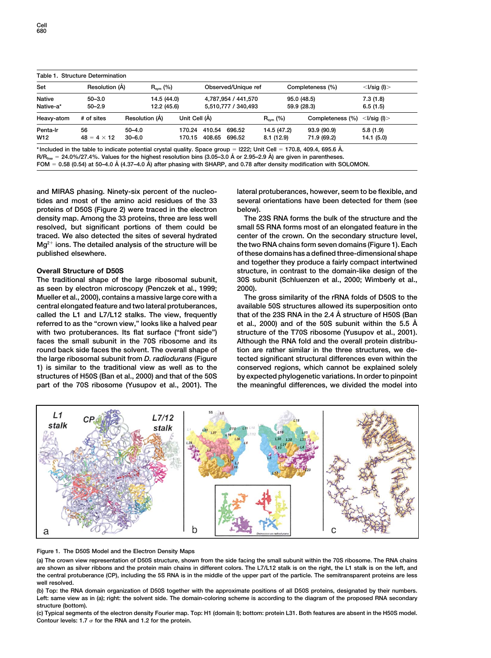| Table 1. Structure Determination |                    |                |               |                     |                     |                  |                  |                   |
|----------------------------------|--------------------|----------------|---------------|---------------------|---------------------|------------------|------------------|-------------------|
| Set                              | Resolution (Å)     | $R_{sym}$ (%)  |               |                     | Observed/Unique ref | Completeness (%) |                  | $<$ I/sig (I) $>$ |
| <b>Native</b>                    | $50 - 3.0$         | 14.5 (44.0)    |               | 4.787.954 / 441.570 |                     | 95.0 (48.5)      |                  | 7.3(1.8)          |
| Native-a*                        | $50 - 2.9$         | 12.2 (45.6)    |               | 5,510,777 / 340,493 |                     | 59.9 (28.3)      |                  | 6.5(1.5)          |
| Heavy-atom                       | # of sites         | Resolution (Å) | Unit Cell (Å) |                     |                     | $R_{sym}$ (%)    | Completeness (%) | $<$ I/sig (I) $>$ |
| Penta-Ir                         | 56                 | $50 - 4.0$     | 170.24        | 410.54              | 696.52              | 14.5 (47.2)      | 93.9 (90.9)      | 5.8(1.9)          |
| W <sub>12</sub>                  | $48 = 4 \times 12$ | $30 - 6.0$     | 170.15        | 408.65              | 696.52              | 8.1(12.9)        | 71.9 (69.2)      | 14.1(5.0)         |
|                                  | .                  |                |               |                     |                     |                  |                  |                   |

**\* Included in the table to indicate potential crystal quality. Space group l222; Unit Cell 170.8, 409.4, 695.6 A˚ . R/Rfree 24.0%/27.4%. Values for the highest resolution bins (3.05–3.0 A˚ or 2.95–2.9 A˚ ) are given in parentheses. FOM 0.58 (0.54) at 50–4.0 A˚ (4.37–4.0 A˚ ) after phasing with SHARP, and 0.78 after density modification with SOLOMON.**

**and MIRAS phasing. Ninety-six percent of the nucleo- lateral protuberances, however, seem to be flexible, and tides and most of the amino acid residues of the 33 several orientations have been detected for them (see proteins of D50S (Figure 2) were traced in the electron below). density map. Among the 33 proteins, three are less well The 23S RNA forms the bulk of the structure and the resolved, but significant portions of them could be small 5S RNA forms most of an elongated feature in the traced. We also detected the sites of several hydrated center of the crown. On the secondary structure level, Mg2 ions. The detailed analysis of the structure will be the two RNA chains form seven domains (Figure 1). Each**

**as seen by electron microscopy (Penczek et al., 1999; 2000). Mueller et al., 2000), contains a massive large core with a The gross similarity of the rRNA folds of D50S to the central elongated feature and two lateral protuberances, available 50S structures allowed its superposition onto called the L1 and L7/L12 stalks. The view, frequently that of the 23S RNA in the 2.4 A˚ structure of H50S (Ban et al., 2000) and of the 50S subunit within the 5.5 A˚ referred to as the "crown view," looks like a halved pear** with two protuberances. Its flat surface ("front side") structure of the T70S ribosome (Yusupov et al., 2001). **faces the small subunit in the 70S ribosome and its Although the RNA fold and the overall protein distribu**round back side faces the solvent. The overall shape of tion are rather similar in the three structures, we de**the large ribosomal subunit from** *D. radiodurans* **(Figure tected significant structural differences even within the 1) is similar to the traditional view as well as to the conserved regions, which cannot be explained solely structures of H50S (Ban et al., 2000) and that of the 50S by expected phylogenetic variations. In order to pinpoint part of the 70S ribosome (Yusupov et al., 2001). The the meaningful differences, we divided the model into**

**published elsewhere. of these domains has a defined three-dimensional shape and together they produce a fairly compact intertwined Overall Structure of D50S structure, in contrast to the domain-like design of the The traditional shape of the large ribosomal subunit, 30S subunit (Schluenzen et al., 2000; Wimberly et al.,**



## **Figure 1. The D50S Model and the Electron Density Maps**

**(a) The crown view representation of D50S structure, shown from the side facing the small subunit within the 70S ribosome. The RNA chains are shown as silver ribbons and the protein main chains in different colors. The L7/L12 stalk is on the right, the L1 stalk is on the left, and the central protuberance (CP), including the 5S RNA is in the middle of the upper part of the particle. The semitransparent proteins are less well resolved.**

**(b) Top: the RNA domain organization of D50S together with the approximate positions of all D50S proteins, designated by their numbers. Left: same view as in (a); right: the solvent side. The domain-coloring scheme is according to the diagram of the proposed RNA secondary structure (bottom).**

**(c) Typical segments of the electron density Fourier map. Top: H1 (domain I); bottom: protein L31. Both features are absent in the H50S model. Contour levels: 1.7 for the RNA and 1.2 for the protein.**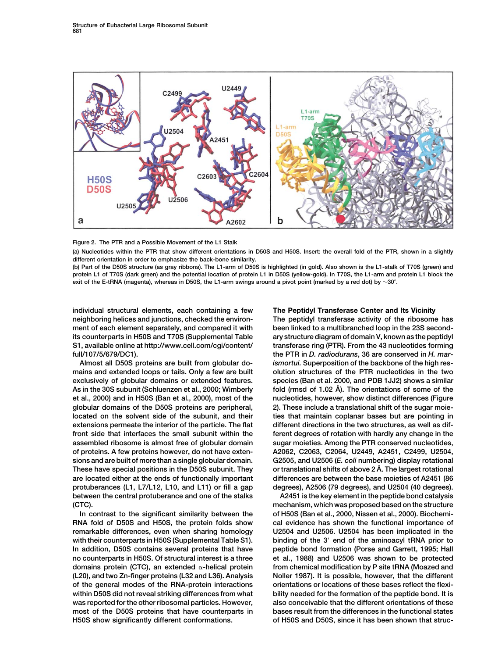



**(a) Nucleotides within the PTR that show different orientations in D50S and H50S. Insert: the overall fold of the PTR, shown in a slightly different orientation in order to emphasize the back-bone similarity.**

**(b) Part of the D50S structure (as gray ribbons). The L1-arm of D50S is highlighted (in gold). Also shown is the L1-stalk of T70S (green) and protein L1 of T70S (dark green) and the potential location of protein L1 in D50S (yellow-gold). In T70S, the L1-arm and protein L1 block the exit of the E-tRNA (magenta), whereas in D50S, the L1-arm swings around a pivot point (marked by a red dot) by 30.**

**individual structural elements, each containing a few The Peptidyl Transferase Center and Its Vicinity full/107/5/679/DC1). the PTR in** *D. radiodurans***, 36 are conserved in** *H. mar-*

**between the central protuberance and one of the stalks A2451 is the key element in the peptide bond catalysis**

**RNA fold of D50S and H50S, the protein folds show cal evidence has shown the functional importance of remarkable differences, even when sharing homology U2504 and U2506. U2504 has been implicated in the with their counterparts in H50S (Supplemental Table S1). binding of the 3 end of the aminoacyl tRNA prior to In addition, D50S contains several proteins that have peptide bond formation (Porse and Garrett, 1995; Hall no counterparts in H50S. Of structural interest is a three et al., 1988) and U2506 was shown to be protected domains protein (CTC), an extended -helical protein from chemical modification by P site tRNA (Moazed and (L20), and two Zn-finger proteins (L32 and L36). Analysis Noller 1987). It is possible, however, that the different of the general modes of the RNA-protein interactions orientations or locations of these bases reflect the flexiwithin D50S did not reveal striking differences from what bility needed for the formation of the peptide bond. It is was reported for the other ribosomal particles. However, also conceivable that the different orientations of these most of the D50S proteins that have counterparts in bases result from the differences in the functional states**

**neighboring helices and junctions, checked the environ- The peptidyl transferase activity of the ribosome has** ment of each element separately, and compared it with been linked to a multibranched loop in the 23S second**its counterparts in H50S and T70S (Supplemental Table ary structure diagram of domain V, known as the peptidyl S1, available online at http://www.cell.com/cgi/content/ transferase ring (PTR). From the 43 nucleotides forming Almost all D50S proteins are built from globular do-** *ismortui.* **Superposition of the backbone of the high resmains and extended loops or tails. Only a few are built olution structures of the PTR nucleotides in the two exclusively of globular domains or extended features. species (Ban et al. 2000, and PDB 1JJ2) shows a similar fold (rmsd of 1.02 A˚ As in the 30S subunit (Schluenzen et al., 2000; Wimberly ). The orientations of some of the et al., 2000) and in H50S (Ban et al., 2000), most of the nucleotides, however, show distinct differences (Figure globular domains of the D50S proteins are peripheral, 2). These include a translational shift of the sugar moie**located on the solvent side of the subunit, and their ties that maintain coplanar bases but are pointing in **extensions permeate the interior of the particle. The flat different directions in the two structures, as well as diffront side that interfaces the small subunit within the ferent degrees of rotation with hardly any change in the assembled ribosome is almost free of globular domain sugar moieties. Among the PTR conserved nucleotides, of proteins. A few proteins however, do not have exten- A2062, C2063, C2064, U2449, A2451, C2499, U2504, sions and are built of more than a single globular domain. G2505, and U2506 (***E. coli* **numbering) display rotational These have special positions in the D50S subunit. They or translational shifts of above 2 A˚ . The largest rotational are located either at the ends of functionally important differences are between the base moieties of A2451 (86 protuberances (L1, L7/L12, L10, and L11) or fill a gap degrees), A2506 (79 degrees), and U2504 (40 degrees).**

**(CTC). mechanism, which was proposed based on the structure In contrast to the significant similarity between the of H50S (Ban et al., 2000, Nissen et al., 2000). Biochemi-H50S show significantly different conformations. of H50S and D50S, since it has been shown that struc-**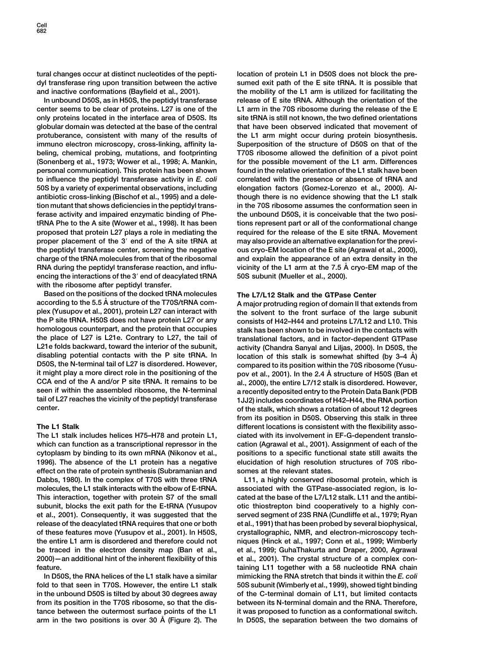**center seems to be clear of proteins. L27 is one of the L1 arm in the 70S ribosome during the release of the E only proteins located in the interface area of D50S. Its site tRNA is still not known, the two defined orientations globular domain was detected at the base of the central that have been observed indicated that movement of protuberance, consistent with many of the results of the L1 arm might occur during protein biosynthesis. immuno electron microscopy, cross-linking, affinity la- Superposition of the structure of D50S on that of the beling, chemical probing, mutations, and footprinting T70S ribosome allowed the definition of a pivot point (Sonenberg et al., 1973; Wower et al., 1998; A. Mankin, for the possible movement of the L1 arm. Differences personal communication). This protein has been shown found in the relative orientation of the L1 stalk have been to influence the peptidyl transferase activity in** *E. coli* **correlated with the presence or absence of tRNA and 50S by a variety of experimental observations, including elongation factors (Gomez-Lorenzo et al., 2000). Alantibiotic cross-linking (Bischof et al., 1995) and a dele- though there is no evidence showing that the L1 stalk tion mutant that shows deficiencies in the peptidyl trans- in the 70S ribosome assumes the conformation seen in ferase activity and impaired enzymatic binding of Phe- the unbound D50S, it is conceivable that the two positRNA Phe to the A site (Wower et al., 1998). It has been tions represent part or all of the conformational change proposed that protein L27 plays a role in mediating the required for the release of the E site tRNA. Movement proper placement of the 3 end of the A site tRNA at may also provide an alternative explanation for the previthe peptidyl transferase center, screening the negative ous cryo-EM location of the E site (Agrawal et al., 2000), charge of the tRNA molecules from that of the ribosomal and explain the appearance of an extra density in the RNA during the peptidyl transferase reaction, and influ- vicinity of the L1 arm at the 7.5 A˚ cryo-EM map of the encing the interactions of the 3 end of deacylated tRNA 50S subunit (Mueller et al., 2000). with the ribosome after peptidyl transfer.**

**Based on the positions of the docked tRNA molecules The L7/L12 Stalk and the GTPase Center according to the 5.5 A˚ structure of the T70S/tRNA com- A major protruding region of domain II that extends from plex (Yusupov et al., 2001), protein L27 can interact with the solvent to the front surface of the large subunit homologous counterpart, and the protein that occupies stalk has been shown to be involved in the contacts with the place of L27 is L21e. Contrary to L27, the tail of translational factors, and in factor-dependent GTPase L21e folds backward, toward the interior of the subunit, activity (Chandra Sanyal and Liljas, 2000). In D50S, the disabling potential contacts with the P site tRNA. In location of this stalk is somewhat shifted (by 3–4 A˚ ) D50S, the N-terminal tail of L27 is disordered. However, compared to its position within the 70S ribosome (Yusu-CCA end of the A and/or P site tRNA. It remains to be al., 2000), the entire L7/12 stalk is disordered. However, seen if within the assembled ribosome, the N-terminal a recently deposited entry to the Protein Data Bank (PDB tail of L27 reaches the vicinity of the peptidyl transferase 1JJ2) includes coordinates of H42–H44, the RNA portion**

**The L1 stalk includes helices H75–H78 and protein L1, ciated with its involvement in EF-G-dependent translowhich can function as a transcriptional repressor in the cation (Agrawal et al., 2001). Assignment of each of the cytoplasm by binding to its own mRNA (Nikonov et al., positions to a specific functional state still awaits the 1996). The absence of the L1 protein has a negative elucidation of high resolution structures of 70S riboeffect on the rate of protein synthesis (Subramanian and somes at the relevant states. Dabbs, 1980). In the complex of T70S with three tRNA L11, a highly conserved ribosomal protein, which is molecules, the L1 stalk interacts with the elbow of E-tRNA. associated with the GTPase-associated region, is lo-This interaction, together with protein S7 of the small cated at the base of the L7/L12 stalk. L11 and the antibi**subunit, blocks the exit path for the E-tRNA (Yusupov otic thiostrepton bind cooperatively to a highly con**et al., 2001). Consequently, it was suggested that the served segment of 23S RNA (Cundliffe et al., 1979; Ryan release of the deacylated tRNA requires that one or both et al., 1991) that has been probed by several biophysical, of these features move (Yusupov et al., 2001). In H50S, crystallographic, NMR, and electron-microscopy techthe entire L1 arm is disordered and therefore could not niques (Hinck et al., 1997; Conn et al., 1999; Wimberly be traced in the electron density map (Ban et al., et al., 1999; GuhaThakurta and Draper, 2000, Agrawal 2000)—an additional hint of the inherent flexibility of this et al., 2001). The crystal structure of a complex con-**

**fold to that seen in T70S. However, the entire L1 stalk 50S subunit (Wimberly et al., 1999), showed tight binding in the unbound D50S is tilted by about 30 degrees away of the C-terminal domain of L11, but limited contacts from its position in the T70S ribosome, so that the dis- between its N-terminal domain and the RNA. Therefore, tance between the outermost surface points of the L1 it was proposed to function as a conformational switch. arm in the two positions is over 30 A In D50S, the separation between the two domains of ˚ (Figure 2). The**

**tural changes occur at distinct nucleotides of the pepti- location of protein L1 in D50S does not block the predyl transferase ring upon transition between the active sumed exit path of the E site tRNA. It is possible that and inactive conformations (Bayfield et al., 2001). the mobility of the L1 arm is utilized for facilitating the In unbound D50S, as in H50S, the peptidyl transferase release of E site tRNA. Although the orientation of the**

consists of H42–H44 and proteins L7/L12 and L10. This **it might play a more direct role in the positioning of the pov et al., 2001). In the 2.4 A˚ structure of H50S (Ban et center. of the stalk, which shows a rotation of about 12 degrees from its position in D50S. Observing this stalk in three The L1 Stalk different locations is consistent with the flexibility asso-**

**feature. taining L11 together with a 58 nucleotide RNA chain In D50S, the RNA helices of the L1 stalk have a similar mimicking the RNA stretch that binds it within the** *E. coli*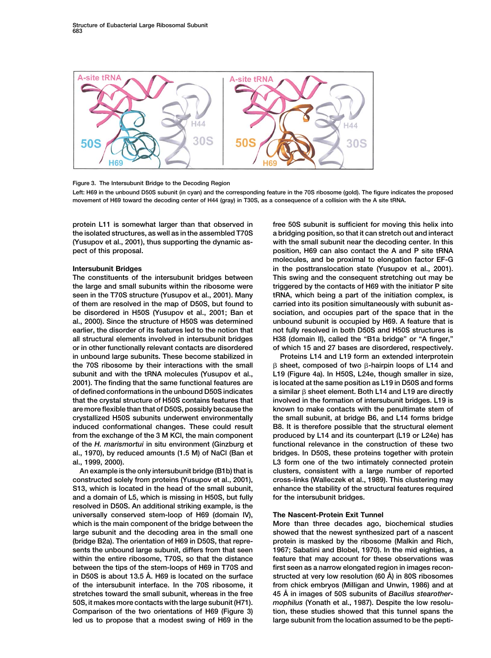

## **Figure 3. The Intersubunit Bridge to the Decoding Region**

**Left: H69 in the unbound D50S subunit (in cyan) and the corresponding feature in the 70S ribosome (gold). The figure indicates the proposed movement of H69 toward the decoding center of H44 (gray) in T30S, as a consequence of a collision with the A site tRNA.**

**in unbound large subunits. These become stabilized in Proteins L14 and L19 form an extended interprotein the 70S ribosome by their interactions with the small subunit and with the tRNA molecules (Yusupov et al., L19 (Figure 4a). In H50S, L24e, though smaller in size, of defined conformations in the unbound D50S indicates that the crystal structure of H50S contains features that involved in the formation of intersubunit bridges. L19 is crystallized H50S subunits underwent environmentally the small subunit, at bridge B6, and L14 forms bridge from the exchange of the 3 M KCl, the main component produced by L14 and its counterpart (L19 or L24e) has of the** *H. marismortui* **in situ environment (Ginzburg et functional relevance in the construction of these two al., 1970), by reduced amounts (1.5 M) of NaCl (Ban et bridges. In D50S, these proteins together with protein al., 1999, 2000). L3 form one of the two intimately connected protein**

**constructed solely from proteins (Yusupov et al., 2001), cross-links (Walleczek et al., 1989). This clustering may S13, which is located in the head of the small subunit, enhance the stability of the structural features required and a domain of L5, which is missing in H50S, but fully for the intersubunit bridges. resolved in D50S. An additional striking example, is the universally conserved stem-loop of H69 (domain IV), The Nascent-Protein Exit Tunnel which is the main component of the bridge between the More than three decades ago, biochemical studies large subunit and the decoding area in the small one showed that the newest synthesized part of a nascent (bridge B2a). The orientation of H69 in D50S, that repre- protein is masked by the ribosome (Malkin and Rich, sents the unbound large subunit, differs from that seen 1967; Sabatini and Blobel, 1970). In the mid eighties, a within the entire ribosome, T70S, so that the distance feature that may account for these observations was** between the tips of the stem-loops of H69 in T70S and first seen as a narrow elongated region in images recon**structed at very low resolution (60 A˚ in D50S is about 13.5 A˚ . H69 is located on the surface ) in 80S ribosomes of the intersubunit interface. In the 70S ribosome, it from chick embryos (Milligan and Unwin, 1986) and at 45 A˚ stretches toward the small subunit, whereas in the free in images of 50S subunits of** *Bacillus stearother-***50S, it makes more contacts with the large subunit (H71).** *mophilus* **(Yonath et al., 1987). Despite the low resolu-Comparison of the two orientations of H69 (Figure 3) tion, these studies showed that this tunnel spans the** led us to propose that a modest swing of H69 in the large subunit from the location assumed to be the pepti-

**protein L11 is somewhat larger than that observed in free 50S subunit is sufficient for moving this helix into the isolated structures, as well as in the assembled T70S a bridging position, so that it can stretch out and interact (Yusupov et al., 2001), thus supporting the dynamic as- with the small subunit near the decoding center. In this pect of this proposal. position, H69 can also contact the A and P site tRNA molecules, and be proximal to elongation factor EF-G Intersubunit Bridges in the posttranslocation state (Yusupov et al., 2001). The constituents of the intersubunit bridges between This swing and the consequent stretching out may be the large and small subunits within the ribosome were triggered by the contacts of H69 with the initiator P site seen in the T70S structure (Yusupov et al., 2001). Many tRNA, which being a part of the initiation complex, is of them are resolved in the map of D50S, but found to carried into its position simultaneously with subunit asbe disordered in H50S (Yusupov et al., 2001; Ban et sociation, and occupies part of the space that in the al., 2000). Since the structure of H50S was determined unbound subunit is occupied by H69. A feature that is earlier, the disorder of its features led to the notion that not fully resolved in both D50S and H50S structures is all structural elements involved in intersubunit bridges H38 (domain II), called the "B1a bridge" or "A finger," or in other functionally relevant contacts are disordered of which 15 and 27 bases are disordered, respectively.**

 **sheet, composed of two -hairpin loops of L14 and 2001). The finding that the same functional features are is located at the same position as L19 in D50S and forms sheet element. Both L14 and L19 are directly are more flexible than that of D50S, possibly because the known to make contacts with the penultimate stem of induced conformational changes. These could result B8. It is therefore possible that the structural element An example is the only intersubunit bridge (B1b) that is clusters, consistent with a large number of reported**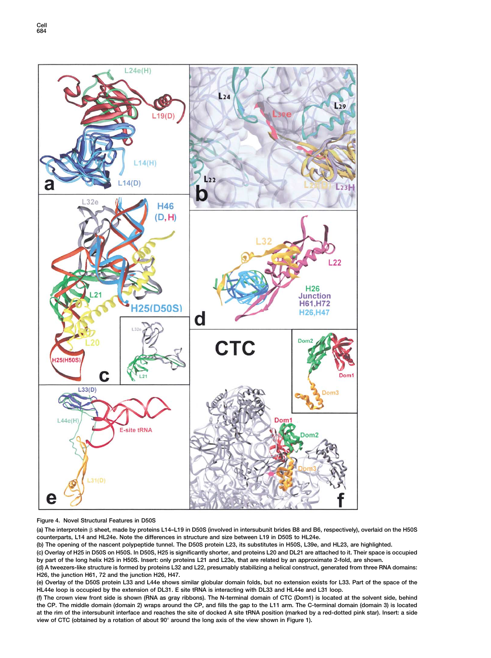

**Figure 4. Novel Structural Features in D50S**

**(a) The interprotein sheet, made by proteins L14–L19 in D50S (involved in intersubunit brides B8 and B6, respectively), overlaid on the H50S counterparts, L14 and HL24e. Note the differences in structure and size between L19 in D50S to HL24e.**

**(b) The opening of the nascent polypeptide tunnel. The D50S protein L23, its substitutes in H50S, L39e, and HL23, are highlighted.**

**(c) Overlay of H25 in D50S on H50S. In D50S, H25 is significantly shorter, and proteins L20 and DL21 are attached to it. Their space is occupied by part of the long helix H25 in H50S. Insert: only proteins L21 and L23e, that are related by an approximate 2-fold, are shown.**

**(d) A tweezers-like structure is formed by proteins L32 and L22, presumably stabilizing a helical construct, generated from three RNA domains: H26, the junction H61, 72 and the junction H26, H47.**

**(e) Overlay of the D50S protein L33 and L44e shows similar globular domain folds, but no extension exists for L33. Part of the space of the HL44e loop is occupied by the extension of DL31. E site tRNA is interacting with DL33 and HL44e and L31 loop.**

**(f) The crown view front side is shown (RNA as gray ribbons). The N-terminal domain of CTC (Dom1) is located at the solvent side, behind the CP. The middle domain (domain 2) wraps around the CP, and fills the gap to the L11 arm. The C-terminal domain (domain 3) is located at the rim of the intersubunit interface and reaches the site of docked A site tRNA position (marked by a red-dotted pink star). Insert: a side view of CTC (obtained by a rotation of about 90 around the long axis of the view shown in Figure 1).**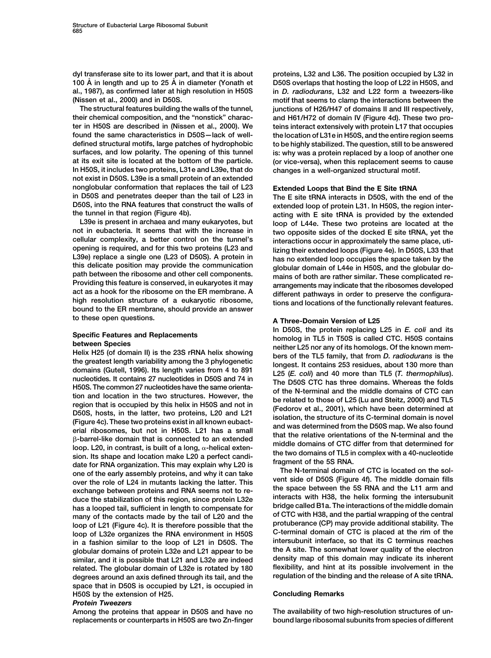**dyl transferase site to its lower part, and that it is about proteins, L32 and L36. The position occupied by L32 in 100 A˚ in length and up to 25 A˚ in diameter (Yonath et D50S overlaps that hosting the loop of L22 in H50S, and al., 1987), as confirmed later at high resolution in H50S in** *D. radiodurans***, L32 and L22 form a tweezers-like (Nissen et al., 2000) and in D50S. motif that seems to clamp the interactions between the**

**their chemical composition, and the "nonstick" charac- and H61/H72 of domain IV (Figure 4d). These two proter in H50S are described in (Nissen et al., 2000). We teins interact extensively with protein L17 that occupies found the same characteristics in D50S—lack of well- the location of L31e in H50S, and the entire region seems defined structural motifs, large patches of hydrophobic to be highly stabilized. The question, still to be answered surfaces, and low polarity. The opening of this tunnel is: why was a protein replaced by a loop of another one at its exit site is located at the bottom of the particle. (or vice-versa), when this replacement seems to cause In H50S, it includes two proteins, L31e and L39e, that do changes in a well-organized structural motif. not exist in D50S. L39e is a small protein of an extended nonglobular conformation that replaces the tail of L23 Extended Loops that Bind the E Site tRNA in D50S and penetrates deeper than the tail of L23 in The E site tRNA interacts in D50S, with the end of the D50S, into the RNA features that construct the walls of extended loop of protein L31. In H50S, the region inter-**

opening is required, and for this two proteins (L23 and<br>
L39e) replace a single one (L23 of D50S). A protein in<br>
this delicate position may provide the communication<br>
path between the ribosome and other cell components.<br>
P **to these open questions. A Three-Domain Version of L25**

the greatest length variability among the 3 phylogenetic<br>domains (Gutell, 1996). Its length varies from 4 to 891<br>nucleotides. It contains 27 nucleotides in D50S and 74 in<br>H50S. The common 27 nucleotides have the same orie B-barrel-like domain that is connected to an extended<br>loop. L20, in contrast, is built of a long,  $α$ -helical extentional middle domains of CTC differ from that determined for<br>sion. Its shape and location make L20 a perf has a looped tail, sufficient in length to compensate for<br>
many of the contacts made by the tail of L20 and the of CTC with H38, and the partial wrapping of the central<br>
loop of L21 (Figure 4c) It is therefore possible tha loop of L21 (Figure 4c). It is therefore possible that the protuberance (CP) may provide additional stability. The loop of L32e organizes the RNA environment in H50S C-terminal domain of CTC is placed at the rim of the in in a fashion similar to the loop of L21 in D50S. The **interface, interface, so that its C terminus reaches**<br> **in a fashion similar domains of protein L32e and L21 appear to be** the A site. The somewhat lower quality of the **globular domains of protein L32e and L21 appear to be the A site. The somewhat lower quality of the electron** similar, and it is possible that L21 and L32e are indeed **related. The globular domain of L32e is rotated by 180 flexibility, and hint at its possible involvement in the degrees around an axis defined through its tail, and the regulation of the binding and the release of A site tRNA. space that in D50S is occupied by L21, is occupied in H50S by the extension of H25. Concluding Remarks**

# *Protein Tweezers*

**replacements or counterparts in H50S are two Zn-finger bound large ribosomal subunits from species of different**

**The structural features building the walls of the tunnel, junctions of H26/H47 of domains II and III respectively,**

**the tunnel in that region (Figure 4b). acting with E site tRNA is provided by the extended** L39e is present in archaea and many eukaryotes, but<br>not in eubacteria. It seems that with the increase in two opposite sides of the docked **F** site tRNA yet the two opposite sides of the docked E site tRNA, yet the **cellular complexity, a better control on the tunnel's interactions occur in approximately the same place, uti-**

**In D50S, the protein replacing L25 in** *E. coli* **and its** Specific Features and Replacements<br>between Species<br>between Species<br>homolog in TL5 in T50S is called CTC. H50S contains<br>helix H25 (of domain II) is the 23S rRNA helix showing<br>the greatest length variability among the 3 phyl

**Among the proteins that appear in D50S and have no The availability of two high-resolution structures of un-**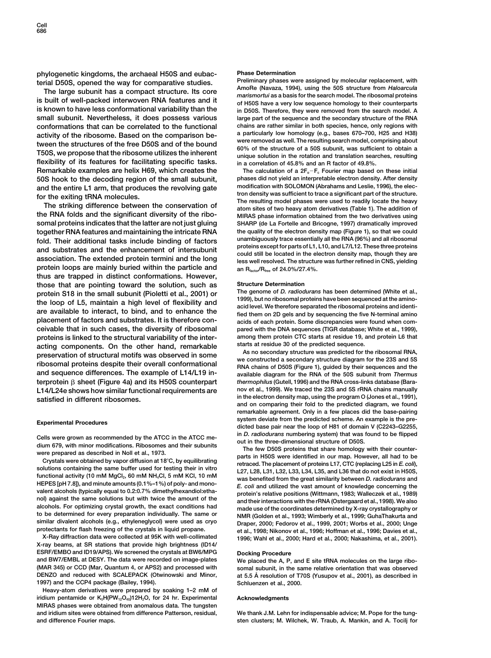**phylogenetic kingdoms, the archaeal H50S and eubac- Phase Determination**

**is known to have less conformational variability than the in D50S. Therefore, they were removed from the search model. A small subunit. Nevertheless, it does possess various large part of the sequence and the secondary structure of the RNA conformations that can be correlated to the functional chains are rather similar in both species, hence, only regions with** activity of the ribosome. Based on the comparison be-<br>tween the structures of the free D50S and of the bound<br>T50S, we propose that the ribosome utilizes the inherent<br>T60S, we propose that the ribosome utilizes the inherent **flexibility of its features for facilitating specific tasks. in a correlation of 45.8% and an R factor of 49.8%. Remarkable examples are helix H69, which creates the** The calculation of a 2F<sub>o</sub> $-F_c$  Fourier map based on these initial **50S hook to the decoding region of the small subunit, phases did not yield an interpretable electron density. After density**

**the RNA folds and the significant diversity of the ribo- MIRAS phase information obtained from the two derivatives using somal proteins indicates that the latter are not just gluing SHARP (de La Fortelle and Bricogne, 1997) dramatically improved together RNA features and maintaining the intricate RNA the quality of the electron density map (Figure 1), so that we could** fold. Their additional tasks include binding of factors<br>and substrates and the enhancement of intersubunit<br>association. The extended protein termini and the long<br>less well resolved. The structure was further refined in CNS protein loops are mainly buried within the particle and an R<sub>factor</sub>/R<sub>free</sub> of 24.0%/27.4%. **thus are trapped in distinct conformations. However, those that are pointing toward the solution, such as Structure Determination** protein S18 in the small subunit (Pioletti et al., 2001) or<br>the genome of *D. radiodurans* has been determined (White et al.,<br>the loop of L5, maintain a high level of flexibility and<br>are available to interact, to bind, and **placement of factors and substrates. It is therefore con- acids of each protein. Some discrepancies were found when comceivable that in such cases, the diversity of ribosomal pared with the DNA sequences (TIGR database; White et al., 1999), proteins is linked to the structural variability of the inter- among them protein CTC starts at residue 19, and protein L6 that** acting components. On the other hand, remarkable<br>preservation of structural motifs was observed in some<br>ribosomal proteins despite their overall conformational<br>and sequence differences. The example of L14/L19 in-<br>available terprotein β sheet (Figure 4a) and its H50S counterpart **L14/L24e shows how similar functional requirements are nov et al., 1999). We traced the 23S and 5S rRNA chains manually in the electron density map, using the program O (Jones et al., 1991), satisfied in different ribosomes.**

HEPES [pH 7.8]), and minute amounts (0.1%-1%) of poly- and mono-<br>valent alcohols (typically equal to 0.2:0.7% dimethylhexandiol:etha-<br>nol) against the same solutions but with twice the amount of the<br>alcohols. For optimizin **similar divalent alcohols (e.g., ethyleneglycol) were used as cryo Draper, 2000; Fedorov et al., 1999, 2001; Worbs et al., 2000; Unge**

**X-ray beams, at SR stations that provide high brightness (ID14/ ESRF/EMBO and ID19/APS). We screened the crystals at BW6/MPG Docking Procedure and BW7/EMBL at DESY. The data were recorded on image-plates We placed the A, P, and E site tRNA molecules on the large ribo- (MAR 345) or CCD (Mar, Quantum 4, or APS2) and processed with somal subunit, in the same relative orientation that was observed 1997) and the CCP4 package (Bailey, 1994). Schluenzen et al., 2000.**

**Heavy-atom derivatives were prepared by soaking 1–2 mM of** iridium pentamide or K<sub>5</sub>H(PW<sub>12</sub>O<sub>40</sub>)12H<sub>2</sub>O, for 24 hr. Experimental **Acknowledgments MIRAS phases were obtained from anomalous data. The tungsten and iridium sites were obtained from difference Patterson, residual, We thank J.M. Lehn for indispensable advice; M. Pope for the tung-**

terial D50S, opened the way for comparative studies.<br>The large subunit has a compact structure. Its core<br>is built of well-packed interwoven RNA features and it<br>is built of well-packed interwoven RNA features and it<br>of H50S

and the entire L1 arm, that produces the revolving gate<br>for the exiting tRNA molecules.<br>The resulting modification with SOLOMON (Abrahams and Leslie, 1996), the elec-<br>for the exiting difference between the conservation of<br>

available diagram for the RNA of the 50S subunit from Thermus  $t$ hermophilus (Gutell, 1996) and the RNA cross-links database (Bara**and on comparing their fold to the predicted diagram, we found remarkable agreement. Only in a few places did the base-pairing system deviate from the predicted scheme. An example is the pre- Experimental Procedures dicted base pair near the loop of H81 of domain V (C2243–G2255,**

Cells were grown as recommended by the ATCC in the ATCC me-<br>dium 679, with minor modifications. Ribosomes and their subunits<br>were prepared as described in Noll et al., 1973.<br>Crystals were obtained by vapor diffusion at 18 **protectants for flash freezing of the crystals in liquid propane. et al., 1998; Nikonov et al., 1996; Hoffman et al., 1996; Davies et al., X-Ray diffraction data were collected at 95K with well-collimated 1996; Wahl et al., 2000; Hard et al., 2000; Nakashima, et al., 2001).**

**DENZO and reduced with SCALEPACK (Otwinowski and Minor, at 5.5 A˚ resolution of T70S (Yusupov et al., 2001), as described in**

**and difference Fourier maps. sten clusters; M. Wilchek, W. Traub, A. Mankin, and A. Tocilj for**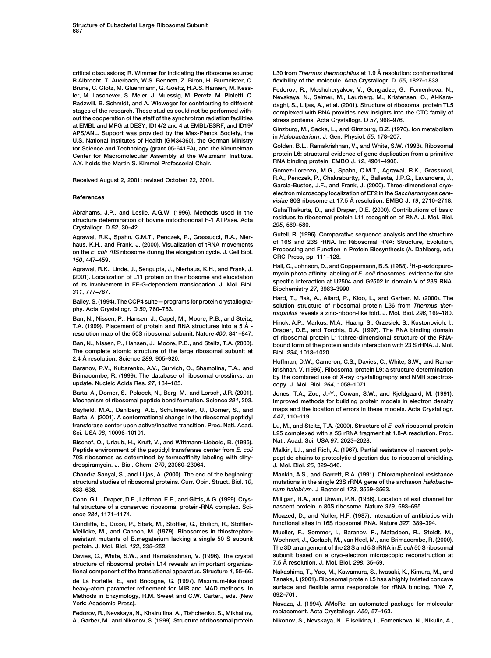**R.Albrecht, T. Auerbach, W.S. Bennett, Z. Biron, H. Burmeister, C. flexibility of the molecule. Acta Crystallogr. D.** *55***, 1827–1833. Brune, C. Glotz, M. Gluehmann, G. Goeltz, H.A.S. Hansen, M. Kess- Fedorov, R., Meshcheryakov, V., Gongadze, G., Fomenkova, N., ler, M. Laschever, S. Meier, J. Muessig, M. Peretz, M. Pioletti, C. Nevskaya, N., Selmer, M., Laurberg, M., Kristensen, O., Al-Kara-Radzwill, B. Schmidt, and A. Wieweger for contributing to different daghi, S., Liljas, A., et al. (2001). Structure of ribosomal protein TL5 out the cooperation of the staff of the synchrotron radiation facilities stress proteins. Acta Crystallogr. D** *57***, 968–976.** at EMBL and MPG at DESY; ID14/2 and 4 at EMBL/ESRF, and ID19/<br>
APS/ANL. Support was provided by the Max-Planck Society, the<br>
U.S. National Institutes of Health (GM34360), the German Ministry<br>
for Science and Technology (gr

Agrawal, R.K., Spahn, C.M.T., Penczek, P., Grassucci, R.A., Nier-<br>haus, K.H., and Frank, J. (2000). Visualization of tRNA movements of 16S and 23S rRNA. In: Ribosomal RNA: Structure, Evolution,<br>on the E. coli 70S ribosome

Agrawal, R.K., Linde, J., Sengupta, J., Nierhaus, K.H., and Frank, J.<br>
(2001). Localization of L11 protein on the ribosome and elucidation<br>
of its Involvement in EF-G-dependent translocation. J. Mol. Biol.<br>
specific intera

**The complete atomic structure of the large ribosomal subunit at Biol.** *234***, 1013–1020.**

**Brimacombe, R. (1999). The database of ribosomal crosslinks: an by the combined use of X-ray crystallography and NMR spectrosupdate. Nucleic Acids Res.** *27***, 184–185. copy. J. Mol. Biol.** *264***, 1058–1071.**

**Barta, A., Dorner, S., Polacek, N., Berg, M., and Lorsch, J.R. (2001). Jones, T.A., Zou, J.-Y., Cowan, S.W., and Kjeldgaard, M. (1991).**

**Bayfield, M.A., Dahlberg, A.E., Schulmeister, U., Dorner, S., and maps and the location of errors in these models. Acta Crystallogr.** Barta, A. (2001). A conformational change in the ribosomal peptidyl **transferase center upon active/inactive transition. Proc. Natl. Acad. Lu, M., and Steitz, T.A. (2000). Structure of** *E. coli* **ribosomal protein**

**Bischof, O., Urlaub, H., Kruft, V., and Wittmann-Liebold, B. (1995). Natl. Acad. Sci. USA** *97***, 2023–2028. Peptide environment of the peptidyl transferase center from** *E. coli* **Malkin, L.I., and Rich, A. (1967). Partial resistance of nascent poly-70S ribosomes as determined by termoaffinity labeling with dihy- peptide chains to proteolytic digestion due to ribosomal shielding. drospiramycin. J. Biol. Chem.** *270***, 23060–23064. J. Mol. Biol.** *26***, 329–346.**

**structural studies of ribosomal proteins. Curr. Opin. Struct. Biol.** *10***, mutations in the single 23S rRNA gene of the archaeon** *Halobacte-***633–636.** *rium halobium***. J Bacteriol** *173***, 3559–3563.**

**tal structure of a conserved ribosomal protein-RNA complex. Sci- nascent protein in 80S ribosome. Nature** *319***, 693–695. ence** *284***, 1171–1174. Moazed, D., and Noller, H.F. (1987). Interaction of antibiotics with**

**Meilicke, M., and Cannon, M. (1979). Ribosomes in thiostrepton- Mueller, F., Sommer, I., Baranov, P., Matadeen, R., Stoldt, M.,**

**7.5 A˚ structure of ribosomal protein L14 reveals an important organiza- resolution. J. Mol. Biol.** *298***, 35–59.**

**heavy-atom parameter refinement for MIR and MAD methods. In surface and fluid arms responsible methods in Figure 4.1 and fluid arms responsible methods in Figure 701.** Methods in Enzymology, R.M. Sweet and C.W. Carter., eds. (New **York: Academic Press). Navaza, J. (1994). AMoRe: an automated package for molecular**

**replacement. Acta Crystallogr.** *A50***, 57–163. Fedorov, R., Nevskaya, N., Khairullina, A., Tishchenko, S., Mikhailov, A., Garber, M., and Nikonov, S. (1999). Structure of ribosomal protein Nikonov, S., Nevskaya, N., Eliseikina, I., Fomenkova, N., Nikulin, A.,**

**critical discussions; R. Wimmer for indicating the ribosome source; L30 from** *Thermus thermophilus* **at 1.9 A˚ resolution: conformational**

complexed with RNA provides new insights into the CTC family of

**Gomez-Lorenzo, M.G., Spahn, C.M.T., Agrawal, R.K., Grassucci,** R.A., Penczek, P., Chakraburtty, K., Ballesta, J.P.G., Lavandera, J., **Penczek, P., Chakraburtty, K., Ballesta, J.P.G.**, Lavandera, J., Gases and Frank, J. (2000). Three-dimensional cryo**electron microscopy localization of EF2 in the** *Saccharomyces cere-* **References** *visiae* **80S ribosome at 17.5 A˚ resolution. EMBO J.** *<sup>19</sup>***, 2710–2718.** Abrahams, J.P., and Leslie, A.G.W. (1996). Methods used in the<br>structure determination of bovine mitochondrial F-1 ATPase. Acta<br>295, 569–580.<br>295, 569–580.

*<sup>295</sup>***, 569–580. Crystallogr. D** *<sup>52</sup>***, 30–42.**

**Hall, C., Johnson, D., and Coppermann, B.S. (1988). <sup>3</sup>**

Bailey, S. (1994). The CCP4 suite—programs for protein crystallogra-<br>
phy. Acta Crystallogr. D 50, 760–763.<br>
Ban, N., Nissen, P., Hansen, J., Capel, M., Moore, P.B., and Steitz,<br>
Ban, N., Nissen, P., Hansen, J., Capel, M.,

Ban, N., Nissen, P., Harlsen, J., Oaper, M., Woore, P.B., and Stelle,<br>T.A. (1999). Placement of protein and RNA structures into a 5  $\AA$ .<br>T.A. (1999). Placement of protein and RNA structures into a 5  $\AA$ .<br>Praper, D.E., an bound form of the protein and its interaction with 23 S rRNA. J. Mol.

**2.4 A˚ resolution. Science** *<sup>289</sup>***, 905–920. Hoffman, D.W., Cameron, C.S., Davies, C., White, S.W., and Ramakrishnan, V. (1996). Ribosomal protein L9: a structure determination** 

**Mechanism of ribosomal peptide bond formation. Science** *291***, 203. Improved methods for building protein models in electron density**

**Sci. USA** *98***, 10096–10101. L25 complexed with a 5S rRNA fragment at 1.8-A resolution. Proc.**

**Chandra Sanyal, S., and Liljas, A. (2000). The end of the beginning: Mankin, A.S., and Garrett, R.A. (1991). Chloramphenicol resistance**

**Conn, G.L., Draper, D.E., Lattman, E.E., and Gittis, A.G. (1999). Crys- Milligan, R.A., and Unwin, P.N. (1986). Location of exit channel for**

**Cundliffe, E., Dixon, P., Stark, M., Stoffler, G., Ehrlich, R., Stoffler- functional sites in 16S ribosomal RNA. Nature** *327***, 389–394.**

**resistant mutants of B.megaterium lacking a single 50 S subunit Woehnert, J., Gorlach, M., van Heel, M., and Brimacombe, R. (2000). protein. J. Mol. Biol.** *132***, 235–252. The 3D arrangement of the 23 S and 5 S rRNA in** *E. coli* **50 S ribosomal Davies, C., White, S.W., and Ramakrishnan, V. (1996). The crystal subunit based on a cryo-electron microscopic reconstruction at**

**tional component of the translational apparatus. Structure** *4***, 55–66. Nakashima, T., Yao, M., Kawamura, S., Iwasaki, K., Kimura, M., and de La Fortelle, E., and Bricogne, G. (1997). Maximum-likelihood Tanaka, I. (2001). Ribosomal protein L5 has a highly twisted concave**